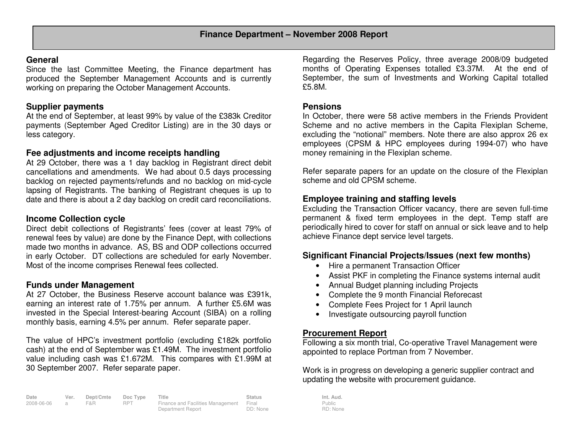# **General**

 Since the last Committee Meeting, the Finance department has produced the September Management Accounts and is currently working on preparing the October Management Accounts.

# **Supplier payments**

 At the end of September, at least 99% by value of the £383k Creditor payments (September Aged Creditor Listing) are in the 30 days or less category.

## **Fee adjustments and income receipts handling**

 At 29 October, there was a 1 day backlog in Registrant direct debit cancellations and amendments. We had about 0.5 days processing backlog on rejected payments/refunds and no backlog on mid-cycle lapsing of Registrants. The banking of Registrant cheques is up to date and there is about a 2 day backlog on credit card reconciliations.

# **Income Collection cycle**

 Direct debit collections of Registrants' fees (cover at least 79% of renewal fees by value) are done by the Finance Dept, with collections made two months in advance. AS, BS and ODP collections occurred in early October. DT collections are scheduled for early November. Most of the income comprises Renewal fees collected.

## **Funds under Management**

 At 27 October, the Business Reserve account balance was £391k, earning an interest rate of 1.75% per annum. A further £5.6M was invested in the Special Interest-bearing Account (SIBA) on a rolling monthly basis, earning 4.5% per annum. Refer separate paper.

The value of HPC's investment portfolio (excluding £182k portfolio cash) at the end of September was £1.49M. The investment portfolio value including cash was £1.672M. This compares with £1.99M at 30 September 2007. Refer separate paper.

| Date         | Ver. | Dept/Cmte | Doc Type   | Title                                   | <b>Status</b> | Int. Aud. |
|--------------|------|-----------|------------|-----------------------------------------|---------------|-----------|
| 2008-06-06 a |      | F&R.      | <b>RPT</b> | Finance and Facilities Management Final |               | Public    |
|              |      |           |            | Department Report                       | DD: None      | RD: Non   |

Regarding the Reserves Policy, three average 2008/09 budgeted months of Operating Expenses totalled £3.37M. At the end of September, the sum of Investments and Working Capital totalled £5.8M.

### **Pensions**

In October, there were 58 active members in the Friends Provident Scheme and no active members in the Capita Flexiplan Scheme, excluding the "notional" members. Note there are also approx 26 ex employees (CPSM & HPC employees during 1994-07) who have money remaining in the Flexiplan scheme.

Refer separate papers for an update on the closure of the Flexiplan scheme and old CPSM scheme.

# **Employee training and staffing levels**

 Excluding the Transaction Officer vacancy, there are seven full-time permanent & fixed term employees in the dept. Temp staff are periodically hired to cover for staff on annual or sick leave and to help achieve Finance dept service level targets.

# **Significant Financial Projects/Issues (next few months)**

- Hire a permanent Transaction Officer
- Assist PKF in completing the Finance systems internal audit
- Annual Budget planning including Projects
- Complete the 9 month Financial Reforecast
- Complete Fees Project for 1 April launch
- Investigate outsourcing payroll function

# **Procurement Report**

Public RD: None

 Following a six month trial, Co-operative Travel Management were appointed to replace Portman from 7 November.

Work is in progress on developing a generic supplier contract and updating the website with procurement guidance.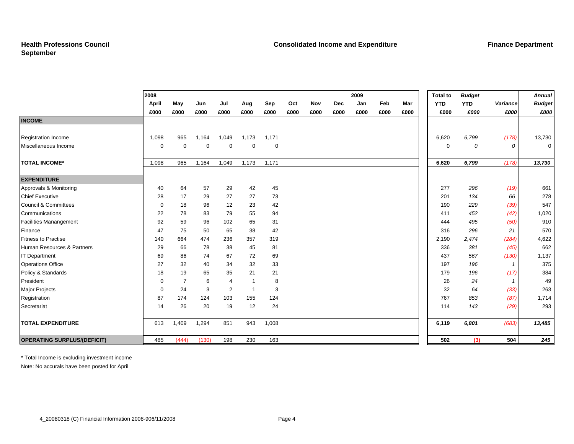|                                    | 2008        |                |             |                |                |             |      |      |      | 2009 |      |      | <b>Total to</b> | <b>Budget</b> |                | <b>Annual</b>  |
|------------------------------------|-------------|----------------|-------------|----------------|----------------|-------------|------|------|------|------|------|------|-----------------|---------------|----------------|----------------|
|                                    | April       | May            | Jun         | Jul            | Aug            | Sep         | Oct  | Nov  | Dec  | Jan  | Feb  | Mar  | <b>YTD</b>      | <b>YTD</b>    | Variance       | <b>Budget</b>  |
|                                    | £000        | £000           | £000        | £000           | £000           | £000        | £000 | £000 | £000 | £000 | £000 | £000 | £000            | £000          | £000           | £000           |
| <b>INCOME</b>                      |             |                |             |                |                |             |      |      |      |      |      |      |                 |               |                |                |
| <b>Registration Income</b>         | 1,098       | 965            | 1,164       | 1,049          | 1,173          | 1,171       |      |      |      |      |      |      | 6,620           | 6,799         | (178)          | 13,730         |
| Miscellaneous Income               | $\mathbf 0$ | $\Omega$       | $\mathbf 0$ | $\mathbf 0$    | $\mathbf 0$    | $\mathbf 0$ |      |      |      |      |      |      | $\mathbf 0$     |               | $\overline{O}$ | $\overline{0}$ |
|                                    |             |                |             |                |                |             |      |      |      |      |      |      |                 | 0             |                |                |
| <b>TOTAL INCOME*</b>               | 1,098       | 965            | 1,164       | 1,049          | 1,173          | 1,171       |      |      |      |      |      |      | 6,620           | 6,799         | (178)          | 13,730         |
| <b>EXPENDITURE</b>                 |             |                |             |                |                |             |      |      |      |      |      |      |                 |               |                |                |
| Approvals & Monitoring             | 40          | 64             | 57          | 29             | 42             | 45          |      |      |      |      |      |      | 277             | 296           | (19)           | 661            |
| <b>Chief Executive</b>             | 28          | 17             | 29          | 27             | 27             | 73          |      |      |      |      |      |      | 201             | 134           | 66             | 278            |
| <b>Council &amp; Committees</b>    | 0           | 18             | 96          | 12             | 23             | 42          |      |      |      |      |      |      | 190             | 229           | (39)           | 547            |
| Communications                     | 22          | 78             | 83          | 79             | 55             | 94          |      |      |      |      |      |      | 411             | 452           | (42)           | 1,020          |
| <b>Facilities Manangement</b>      | 92          | 59             | 96          | 102            | 65             | 31          |      |      |      |      |      |      | 444             | 495           | (50)           | 910            |
| Finance                            | 47          | 75             | 50          | 65             | 38             | 42          |      |      |      |      |      |      | 316             | 296           | 21             | 570            |
| <b>Fitness to Practise</b>         | 140         | 664            | 474         | 236            | 357            | 319         |      |      |      |      |      |      | 2,190           | 2,474         | (284)          | 4,622          |
| Human Resources & Partners         | 29          | 66             | 78          | 38             | 45             | 81          |      |      |      |      |      |      | 336             | 381           | (45)           | 662            |
| <b>IT Department</b>               | 69          | 86             | 74          | 67             | 72             | 69          |      |      |      |      |      |      | 437             | 567           | (130)          | 1,137          |
| <b>Operations Office</b>           | 27          | 32             | 40          | 34             | 32             | 33          |      |      |      |      |      |      | 197             | 196           | $\mathbf{1}$   | 375            |
| Policy & Standards                 | 18          | 19             | 65          | 35             | 21             | 21          |      |      |      |      |      |      | 179             | 196           | (17)           | 384            |
| President                          | 0           | $\overline{7}$ | 6           | $\overline{4}$ | -1             | 8           |      |      |      |      |      |      | 26              | 24            | $\mathbf{1}$   | 49             |
| <b>Major Projects</b>              | 0           | 24             | 3           | $\overline{2}$ | $\overline{1}$ | 3           |      |      |      |      |      |      | 32              | 64            | (33)           | 263            |
| Registration                       | 87          | 174            | 124         | 103            | 155            | 124         |      |      |      |      |      |      | 767             | 853           | (87)           | 1,714          |
| Secretariat                        | 14          | 26             | 20          | 19             | 12             | 24          |      |      |      |      |      |      | 114             | 143           | (29)           | 293            |
| <b>TOTAL EXPENDITURE</b>           | 613         | 1,409          | 1,294       | 851            | 943            | 1,008       |      |      |      |      |      |      | 6,119           | 6,801         | (683)          | 13,485         |
|                                    |             |                |             |                |                |             |      |      |      |      |      |      |                 |               |                |                |
| <b>OPERATING SURPLUS/(DEFICIT)</b> | 485         | (444)          | (130)       | 198            | 230            | 163         |      |      |      |      |      |      | 502             | (3)           | 504            | 245            |

\* Total Income is excluding investment income

Note: No accurals have been posted for April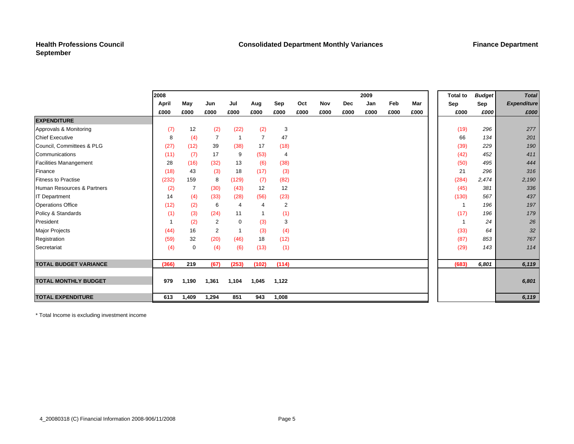### **Health Professions Council September**

|                               | 2008        |                |       |                         |                |                |      |      |            | 2009 |      |      | <b>Total to</b> | <b>Budget</b> | <b>Total</b>       |
|-------------------------------|-------------|----------------|-------|-------------------------|----------------|----------------|------|------|------------|------|------|------|-----------------|---------------|--------------------|
|                               | April       | May            | Jun   | Jul                     | Aug            | Sep            | Oct  | Nov  | <b>Dec</b> | Jan  | Feb  | Mar  | Sep             | Sep           | <b>Expenditure</b> |
|                               | £000        | £000           | £000  | £000                    | £000           | £000           | £000 | £000 | £000       | £000 | £000 | £000 | £000            | £000          | £000               |
| <b>EXPENDITURE</b>            |             |                |       |                         |                |                |      |      |            |      |      |      |                 |               |                    |
| Approvals & Monitoring        | (7)         | 12             | (2)   | (22)                    | (2)            | 3              |      |      |            |      |      |      | (19)            | 296           | 277                |
| <b>Chief Executive</b>        | 8           | (4)            | 7     | $\overline{\mathbf{1}}$ | $\overline{7}$ | 47             |      |      |            |      |      |      | 66              | 134           | 201                |
| Council, Committees & PLG     | (27)        | (12)           | 39    | (38)                    | 17             | (18)           |      |      |            |      |      |      | (39)            | 229           | 190                |
| Communications                | (11)        | (7)            | 17    | 9                       | (53)           | $\overline{4}$ |      |      |            |      |      |      | (42)            | 452           | 411                |
| <b>Facilities Manangement</b> | 28          | (16)           | (32)  | 13                      | (6)            | (38)           |      |      |            |      |      |      | (50)            | 495           | 444                |
| Finance                       | (18)        | 43             | (3)   | 18                      | (17)           | (3)            |      |      |            |      |      |      | 21              | 296           | 316                |
| <b>Fitness to Practise</b>    | (232)       | 159            | 8     | (129)                   | (7)            | (82)           |      |      |            |      |      |      | (284)           | 2,474         | 2,190              |
| Human Resources & Partners    | (2)         | $\overline{7}$ | (30)  | (43)                    | 12             | 12             |      |      |            |      |      |      | (45)            | 381           | 336                |
| <b>IT Department</b>          | 14          | (4)            | (33)  | (28)                    | (56)           | (23)           |      |      |            |      |      |      | (130)           | 567           | 437                |
| <b>Operations Office</b>      | (12)        | (2)            | 6     | $\overline{4}$          | $\overline{4}$ | $\overline{2}$ |      |      |            |      |      |      | $\overline{1}$  | 196           | 197                |
| Policy & Standards            | (1)         | (3)            | (24)  | 11                      | 1              | (1)            |      |      |            |      |      |      | (17)            | 196           | 179                |
| President                     | $\mathbf 1$ | (2)            | 2     | $\mathbf 0$             | (3)            | 3              |      |      |            |      |      |      |                 | 24            | 26                 |
| Major Projects                | (44)        | 16             | 2     | $\overline{\mathbf{1}}$ | (3)            | (4)            |      |      |            |      |      |      | (33)            | 64            | 32                 |
| Registration                  | (59)        | 32             | (20)  | (46)                    | 18             | (12)           |      |      |            |      |      |      | (87)            | 853           | 767                |
| Secretariat                   | (4)         | 0              | (4)   | (6)                     | (13)           | (1)            |      |      |            |      |      |      | (29)            | 143           | 114                |
|                               |             |                |       |                         |                |                |      |      |            |      |      |      |                 |               |                    |
| <b>TOTAL BUDGET VARIANCE</b>  | (366)       | 219            | (67)  | (253)                   | (102)          | (114)          |      |      |            |      |      |      | (683)           | 6,801         | 6,119              |
|                               |             |                |       |                         |                |                |      |      |            |      |      |      |                 |               |                    |
| <b>TOTAL MONTHLY BUDGET</b>   | 979         | 1,190          | 1,361 | 1,104                   | 1,045          | 1,122          |      |      |            |      |      |      |                 |               | 6,801              |
|                               |             |                |       |                         |                |                |      |      |            |      |      |      |                 |               |                    |
| <b>TOTAL EXPENDITURE</b>      | 613         | 1,409          | 1,294 | 851                     | 943            | 1,008          |      |      |            |      |      |      |                 |               | 6,119              |

\* Total Income is excluding investment income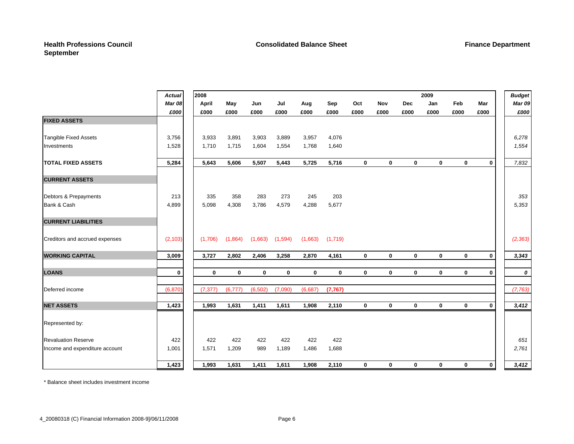|                                | Actual        | 2008        |             |             |             |             |          |             | 2009         |              |              |             |             | <b>Budget</b> |
|--------------------------------|---------------|-------------|-------------|-------------|-------------|-------------|----------|-------------|--------------|--------------|--------------|-------------|-------------|---------------|
|                                | <b>Mar 08</b> | April       | May         | Jun         | Jul         | Aug         | Sep      | Oct         | Nov          | Dec          | Jan          | Feb         | Mar         | <b>Mar 09</b> |
|                                | £000          | £000        | £000        | £000        | £000        | £000        | £000     | £000        | £000         | £000         | £000         | £000        | £000        | £000          |
| <b>FIXED ASSETS</b>            |               |             |             |             |             |             |          |             |              |              |              |             |             |               |
|                                |               |             |             |             |             |             |          |             |              |              |              |             |             |               |
| <b>Tangible Fixed Assets</b>   | 3,756         | 3,933       | 3,891       | 3,903       | 3,889       | 3,957       | 4,076    |             |              |              |              |             |             | 6,278         |
| Investments                    | 1,528         | 1,710       | 1,715       | 1,604       | 1,554       | 1,768       | 1,640    |             |              |              |              |             |             | 1,554         |
| <b>TOTAL FIXED ASSETS</b>      | 5,284         | 5,643       | 5,606       | 5,507       | 5,443       | 5,725       | 5,716    | $\mathbf 0$ | 0            | $\mathbf{0}$ | $\mathbf 0$  | $\mathbf 0$ | $\mathbf 0$ | 7,832         |
| <b>CURRENT ASSETS</b>          |               |             |             |             |             |             |          |             |              |              |              |             |             |               |
| Debtors & Prepayments          | 213           | 335         | 358         | 283         | 273         | 245         | 203      |             |              |              |              |             |             | 353           |
| Bank & Cash                    | 4,899         | 5,098       | 4,308       | 3,786       | 4,579       | 4,288       | 5,677    |             |              |              |              |             |             | 5,353         |
| <b>CURRENT LIABILITIES</b>     |               |             |             |             |             |             |          |             |              |              |              |             |             |               |
| Creditors and accrued expenses | (2, 103)      | (1,706)     | (1,864)     | (1,663)     | (1,594)     | (1,663)     | (1,719)  |             |              |              |              |             |             | (2, 363)      |
| <b>WORKING CAPITAL</b>         | 3,009         | 3,727       | 2,802       | 2,406       | 3,258       | 2,870       | 4,161    | $\mathbf 0$ | $\mathbf{0}$ | $\mathbf{0}$ | $\mathbf{0}$ | $\mathbf 0$ | $\mathbf 0$ | 3,343         |
| <b>LOANS</b>                   | $\mathbf 0$   | $\mathbf 0$ | $\mathbf 0$ | $\mathbf 0$ | $\mathbf 0$ | $\mathbf 0$ | $\bf{0}$ | $\mathbf 0$ | 0            | $\mathbf 0$  | $\mathbf 0$  | $\mathbf 0$ | $\mathbf 0$ | 0             |
| Deferred income                | (6, 870)      | (7, 377)    | (6,777)     | (6, 502)    | (7,090)     | (6,687)     | (7, 767) |             |              |              |              |             |             | (7, 763)      |
|                                |               |             |             |             |             |             |          |             |              |              |              |             |             |               |
| <b>NET ASSETS</b>              | 1,423         | 1,993       | 1,631       | 1,411       | 1,611       | 1,908       | 2,110    | $\mathbf 0$ | $\mathbf 0$  | $\mathbf 0$  | $\mathbf 0$  | $\mathbf 0$ | $\mathbf 0$ | 3,412         |
| Represented by:                |               |             |             |             |             |             |          |             |              |              |              |             |             |               |
| <b>Revaluation Reserve</b>     | 422           | 422         | 422         | 422         | 422         | 422         | 422      |             |              |              |              |             |             | 651           |
| Income and expenditure account | 1,001         | 1,571       | 1,209       | 989         | 1,189       | 1,486       | 1,688    |             |              |              |              |             |             | 2,761         |
|                                | 1,423         | 1,993       | 1,631       | 1,411       | 1,611       | 1,908       | 2,110    | $\mathbf 0$ | $\mathbf 0$  | $\mathbf 0$  | $\mathbf 0$  | $\mathbf 0$ | $\mathbf 0$ | 3,412         |

\* Balance sheet includes investment income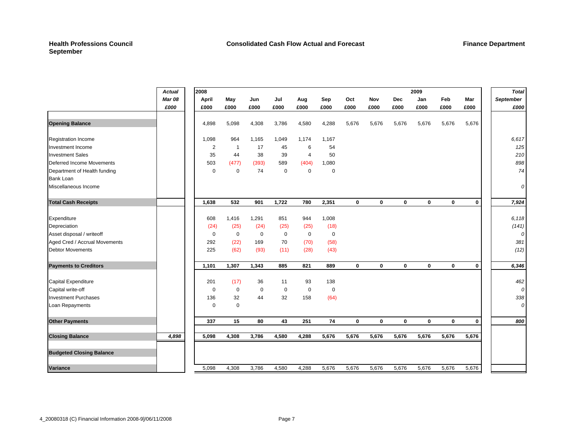#### **Health Professions Council September**

|                                 | <b>Actual</b> | 2008           |                |             |             |                |             |             |             |             | 2009        |             |             | <b>Total</b>     |
|---------------------------------|---------------|----------------|----------------|-------------|-------------|----------------|-------------|-------------|-------------|-------------|-------------|-------------|-------------|------------------|
|                                 | <b>Mar 08</b> | April          | May            | Jun         | Jul         | Aug            | Sep         | Oct         | Nov         | <b>Dec</b>  | Jan         | <b>Feb</b>  | Mar         | <b>September</b> |
|                                 | £000          | £000           | £000           | £000        | £000        | £000           | £000        | £000        | £000        | £000        | £000        | £000        | £000        | £000             |
|                                 |               |                |                |             |             |                |             |             |             |             |             |             |             |                  |
| <b>Opening Balance</b>          |               | 4,898          | 5,098          | 4,308       | 3,786       | 4,580          | 4,288       | 5,676       | 5,676       | 5,676       | 5,676       | 5,676       | 5,676       |                  |
| <b>Registration Income</b>      |               | 1,098          | 964            | 1,165       | 1,049       | 1,174          | 1,167       |             |             |             |             |             |             | 6,617            |
| Investment Income               |               | $\overline{2}$ | $\overline{1}$ | 17          | 45          | 6              | 54          |             |             |             |             |             |             | 125              |
| <b>Investment Sales</b>         |               | 35             | 44             | 38          | 39          | $\overline{4}$ | 50          |             |             |             |             |             |             | 210              |
| Deferred Income Movements       |               | 503            | (477)          | (393)       | 589         | (404)          | 1,080       |             |             |             |             |             |             | 898              |
| Department of Health funding    |               | $\mathbf 0$    | $\mathbf 0$    | 74          | 0           | 0              | $\mathbf 0$ |             |             |             |             |             |             | 74               |
| <b>Bank Loan</b>                |               |                |                |             |             |                |             |             |             |             |             |             |             |                  |
| Miscellaneous Income            |               |                |                |             |             |                |             |             |             |             |             |             |             | 0                |
| <b>Total Cash Receipts</b>      |               | 1,638          | 532            | 901         | 1,722       | 780            | 2,351       | $\mathbf 0$ | $\mathbf 0$ | $\mathbf 0$ | $\mathbf 0$ | $\mathbf 0$ | $\mathbf 0$ | 7,924            |
| Expenditure                     |               | 608            | 1,416          | 1,291       | 851         | 944            | 1,008       |             |             |             |             |             |             | 6,118            |
| Depreciation                    |               | (24)           | (25)           | (24)        | (25)        | (25)           | (18)        |             |             |             |             |             |             | (141)            |
| Asset disposal / writeoff       |               | $\mathbf 0$    | $\mathbf 0$    | $\mathbf 0$ | $\mathbf 0$ | $\mathbf 0$    | $\mathbf 0$ |             |             |             |             |             |             | 0                |
| Aged Cred / Accrual Movements   |               | 292            | (22)           | 169         | 70          | (70)           | (58)        |             |             |             |             |             |             | 381              |
| <b>Debtor Movements</b>         |               | 225            | (62)           | (93)        | (11)        | (28)           | (43)        |             |             |             |             |             |             | (12)             |
| <b>Payments to Creditors</b>    |               | 1,101          | 1,307          | 1,343       | 885         | 821            | 889         | $\mathbf 0$ | $\mathbf 0$ | $\mathbf 0$ | $\mathbf 0$ | $\mathbf 0$ | $\mathbf 0$ | 6,346            |
| <b>Capital Expenditure</b>      |               | 201            | (17)           | 36          | 11          | 93             | 138         |             |             |             |             |             |             | 462              |
| Capital write-off               |               | 0              | $\mathbf 0$    | 0           | $\mathbf 0$ | 0              | $\mathbf 0$ |             |             |             |             |             |             | 0                |
| <b>Investment Purchases</b>     |               | 136            | 32             | 44          | 32          | 158            | (64)        |             |             |             |             |             |             | 338              |
| Loan Repayments                 |               | $\Omega$       | $\Omega$       |             |             |                |             |             |             |             |             |             |             | 0                |
| <b>Other Payments</b>           |               | 337            | 15             | 80          | 43          | 251            | 74          | 0           | $\bf{0}$    | $\mathbf 0$ | $\mathbf 0$ | $\mathbf 0$ | $\mathbf 0$ | 800              |
| <b>Closing Balance</b>          | 4,898         | 5,098          | 4,308          | 3,786       | 4,580       | 4,288          | 5,676       | 5,676       | 5,676       | 5,676       | 5,676       | 5,676       | 5,676       |                  |
| <b>Budgeted Closing Balance</b> |               |                |                |             |             |                |             |             |             |             |             |             |             |                  |
| <b>Variance</b>                 |               | 5,098          | 4,308          | 3,786       | 4,580       | 4,288          | 5,676       | 5,676       | 5,676       | 5,676       | 5,676       | 5,676       | 5,676       |                  |